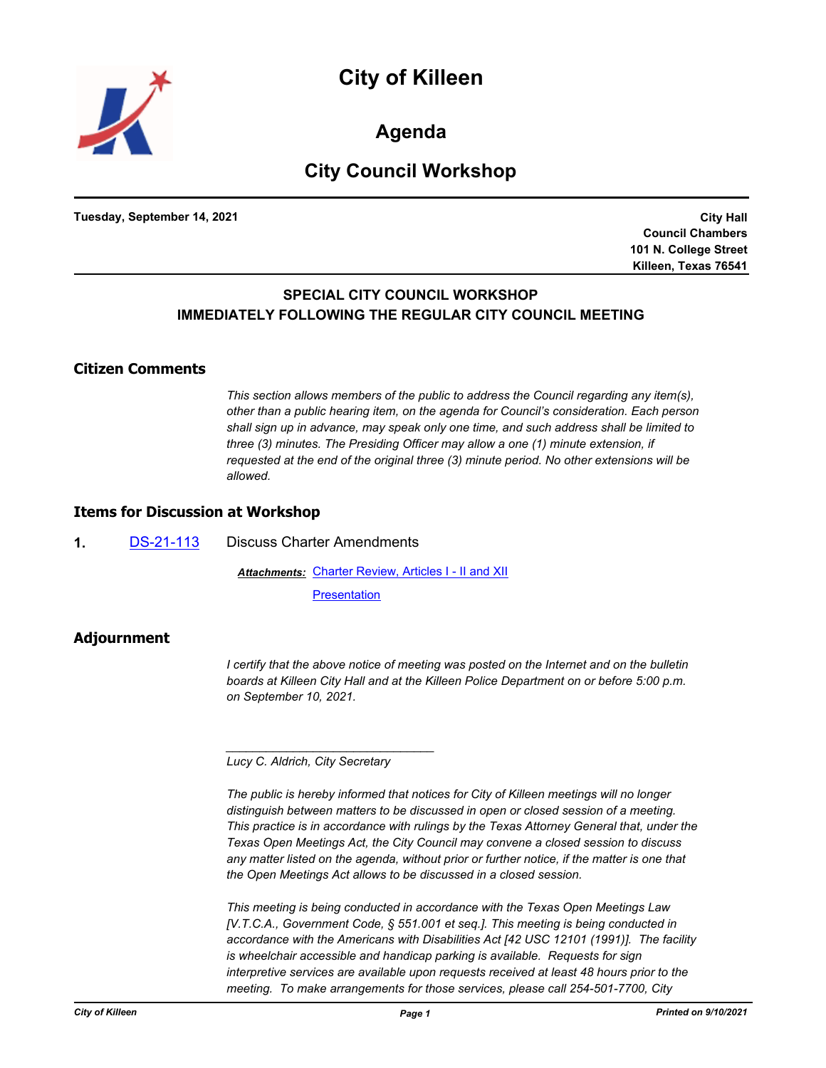

**Agenda**

# **City Council Workshop**

**Tuesday, September 14, 2021**

**City Hall Council Chambers 101 N. College Street Killeen, Texas 76541**

## **SPECIAL CITY COUNCIL WORKSHOP IMMEDIATELY FOLLOWING THE REGULAR CITY COUNCIL MEETING**

#### **Citizen Comments**

*This section allows members of the public to address the Council regarding any item(s), other than a public hearing item, on the agenda for Council's consideration. Each person shall sign up in advance, may speak only one time, and such address shall be limited to three (3) minutes. The Presiding Officer may allow a one (1) minute extension, if requested at the end of the original three (3) minute period. No other extensions will be allowed.*

### **Items for Discussion at Workshop**

**1.** [DS-21-113](http://killeen.legistar.com/gateway.aspx?m=l&id=/matter.aspx?key=5670) Discuss Charter Amendments

**Attachments: [Charter Review, Articles I - II and XII](http://killeen.legistar.com/gateway.aspx?M=F&ID=d0dbc234-f794-49e2-aaf1-b1ee191bc239.pdf)** 

**[Presentation](http://killeen.legistar.com/gateway.aspx?M=F&ID=3d4c7ad8-29fc-4b74-a80c-bc68267c9d51.pdf)** 

### **Adjournment**

*I certify that the above notice of meeting was posted on the Internet and on the bulletin boards at Killeen City Hall and at the Killeen Police Department on or before 5:00 p.m. on September 10, 2021.*

*Lucy C. Aldrich, City Secretary* 

*\_\_\_\_\_\_\_\_\_\_\_\_\_\_\_\_\_\_\_\_\_\_\_\_\_\_\_\_\_\_\_*

*The public is hereby informed that notices for City of Killeen meetings will no longer distinguish between matters to be discussed in open or closed session of a meeting. This practice is in accordance with rulings by the Texas Attorney General that, under the Texas Open Meetings Act, the City Council may convene a closed session to discuss*  any matter listed on the agenda, without prior or further notice, if the matter is one that *the Open Meetings Act allows to be discussed in a closed session.*

*This meeting is being conducted in accordance with the Texas Open Meetings Law [V.T.C.A., Government Code, § 551.001 et seq.]. This meeting is being conducted in accordance with the Americans with Disabilities Act [42 USC 12101 (1991)]. The facility is wheelchair accessible and handicap parking is available. Requests for sign interpretive services are available upon requests received at least 48 hours prior to the meeting. To make arrangements for those services, please call 254-501-7700, City*